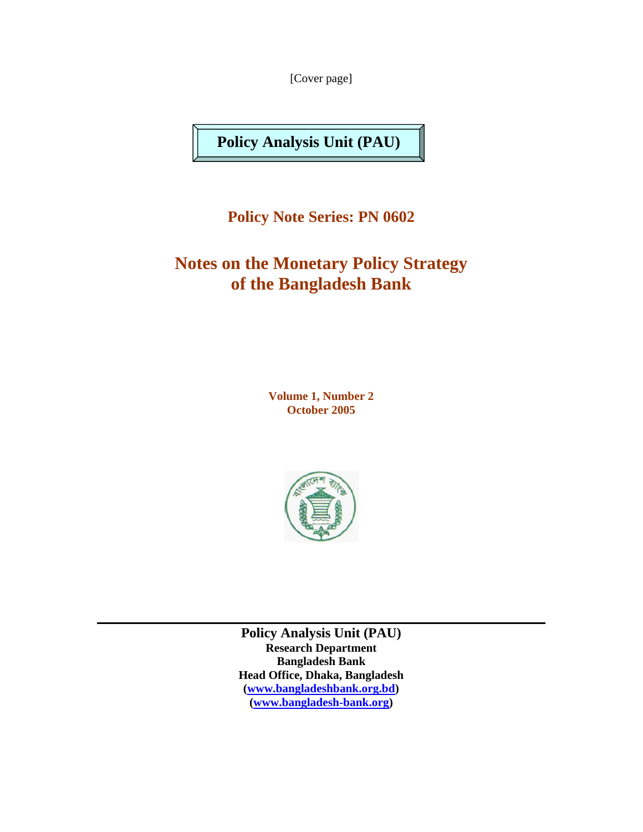[Cover page]

**Policy Analysis Unit (PAU)** 

**Policy Note Series: PN 0602** 

# **Notes on the Monetary Policy Strategy of the Bangladesh Bank**

**Volume 1, Number 2 October 2005** 



**Policy Analysis Unit (PAU) Research Department Bangladesh Bank Head Office, Dhaka, Bangladesh (www.bangladeshbank.org.bd) (www.bangladesh-bank.org)**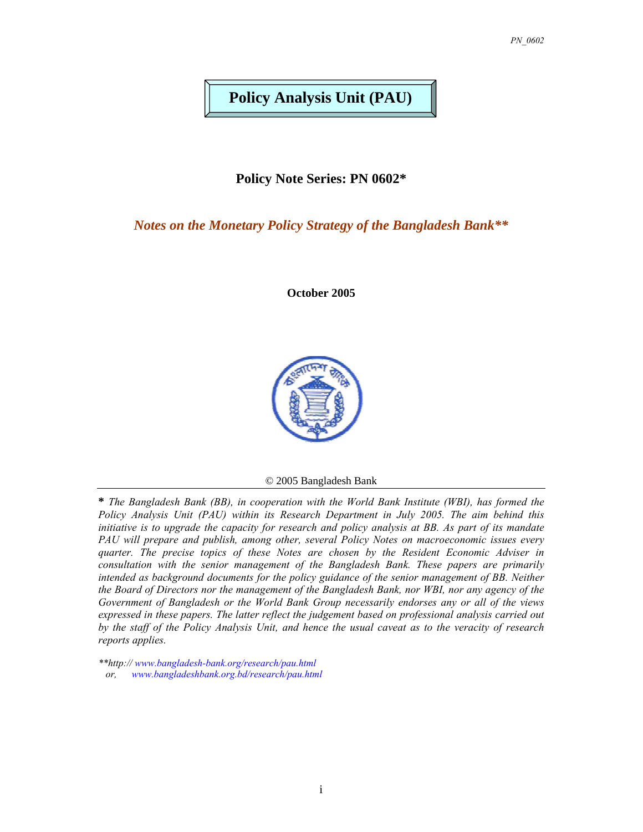## **Policy Analysis Unit (PAU)**

**Policy Note Series: PN 0602\*** 

*Notes on the Monetary Policy Strategy of the Bangladesh Bank\*\**

**October 2005** 



© 2005 Bangladesh Bank

**\*** *The Bangladesh Bank (BB), in cooperation with the World Bank Institute (WBI), has formed the Policy Analysis Unit (PAU) within its Research Department in July 2005. The aim behind this initiative is to upgrade the capacity for research and policy analysis at BB. As part of its mandate PAU will prepare and publish, among other, several Policy Notes on macroeconomic issues every quarter. The precise topics of these Notes are chosen by the Resident Economic Adviser in consultation with the senior management of the Bangladesh Bank. These papers are primarily intended as background documents for the policy guidance of the senior management of BB. Neither the Board of Directors nor the management of the Bangladesh Bank, nor WBI, nor any agency of the Government of Bangladesh or the World Bank Group necessarily endorses any or all of the views expressed in these papers. The latter reflect the judgement based on professional analysis carried out by the staff of the Policy Analysis Unit, and hence the usual caveat as to the veracity of research reports applies.*

*<sup>\*\*</sup>http:// www.bangladesh-bank.org/research/pau.html*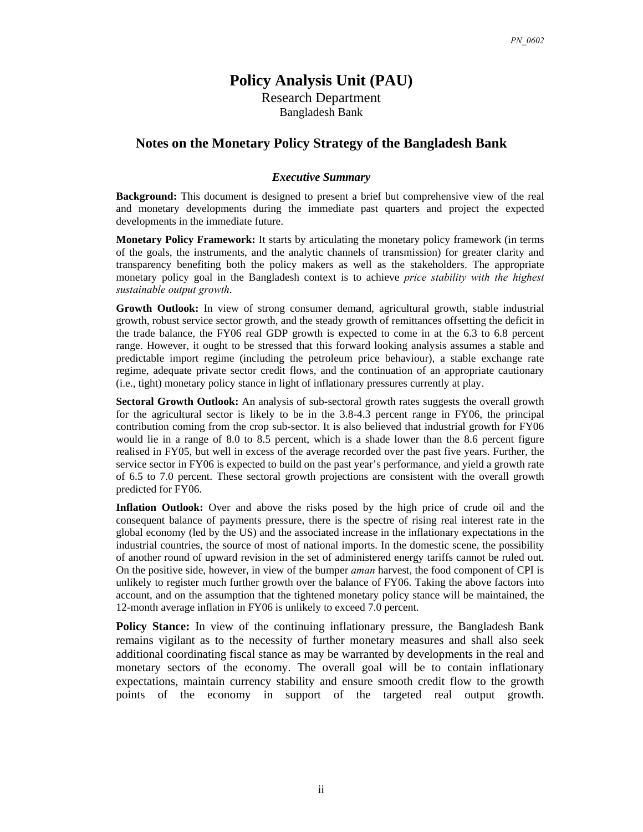### **Policy Analysis Unit (PAU)**

Research Department Bangladesh Bank

#### **Notes on the Monetary Policy Strategy of the Bangladesh Bank**

#### *Executive Summary*

**Background:** This document is designed to present a brief but comprehensive view of the real and monetary developments during the immediate past quarters and project the expected developments in the immediate future.

**Monetary Policy Framework:** It starts by articulating the monetary policy framework (in terms of the goals, the instruments, and the analytic channels of transmission) for greater clarity and transparency benefiting both the policy makers as well as the stakeholders. The appropriate monetary policy goal in the Bangladesh context is to achieve *price stability with the highest sustainable output growth*.

**Growth Outlook:** In view of strong consumer demand, agricultural growth, stable industrial growth, robust service sector growth, and the steady growth of remittances offsetting the deficit in the trade balance, the FY06 real GDP growth is expected to come in at the 6.3 to 6.8 percent range. However, it ought to be stressed that this forward looking analysis assumes a stable and predictable import regime (including the petroleum price behaviour), a stable exchange rate regime, adequate private sector credit flows, and the continuation of an appropriate cautionary (i.e., tight) monetary policy stance in light of inflationary pressures currently at play.

**Sectoral Growth Outlook:** An analysis of sub-sectoral growth rates suggests the overall growth for the agricultural sector is likely to be in the 3.8-4.3 percent range in FY06, the principal contribution coming from the crop sub-sector. It is also believed that industrial growth for FY06 would lie in a range of 8.0 to 8.5 percent, which is a shade lower than the 8.6 percent figure realised in FY05, but well in excess of the average recorded over the past five years. Further, the service sector in FY06 is expected to build on the past year's performance, and yield a growth rate of 6.5 to 7.0 percent. These sectoral growth projections are consistent with the overall growth predicted for FY06.

**Inflation Outlook:** Over and above the risks posed by the high price of crude oil and the consequent balance of payments pressure, there is the spectre of rising real interest rate in the global economy (led by the US) and the associated increase in the inflationary expectations in the industrial countries, the source of most of national imports. In the domestic scene, the possibility of another round of upward revision in the set of administered energy tariffs cannot be ruled out. On the positive side, however, in view of the bumper *aman* harvest, the food component of CPI is unlikely to register much further growth over the balance of FY06. Taking the above factors into account, and on the assumption that the tightened monetary policy stance will be maintained, the 12-month average inflation in FY06 is unlikely to exceed 7.0 percent.

**Policy Stance:** In view of the continuing inflationary pressure, the Bangladesh Bank remains vigilant as to the necessity of further monetary measures and shall also seek additional coordinating fiscal stance as may be warranted by developments in the real and monetary sectors of the economy. The overall goal will be to contain inflationary expectations, maintain currency stability and ensure smooth credit flow to the growth points of the economy in support of the targeted real output growth.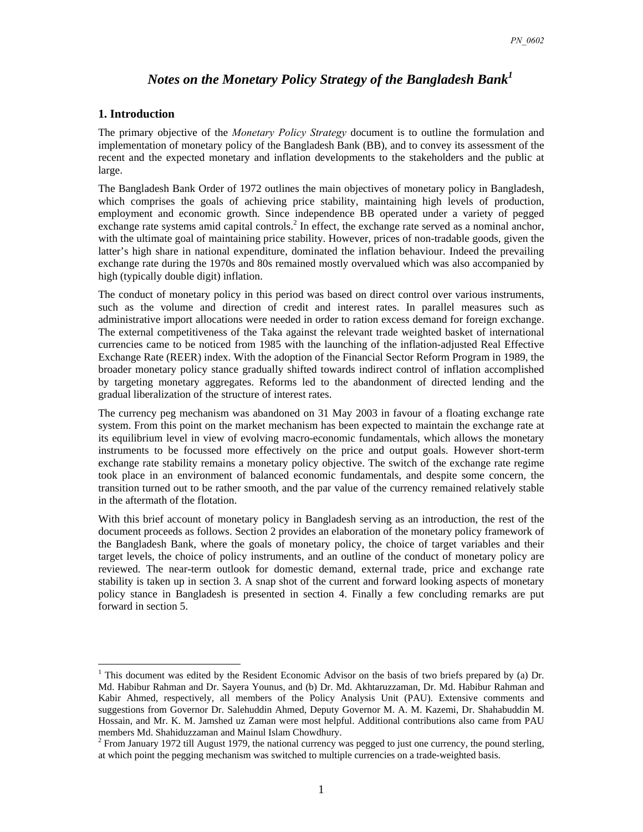### *Notes on the Monetary Policy Strategy of the Bangladesh Bank<sup>1</sup>*

#### **1. Introduction**

 $\overline{a}$ 

The primary objective of the *Monetary Policy Strategy* document is to outline the formulation and implementation of monetary policy of the Bangladesh Bank (BB), and to convey its assessment of the recent and the expected monetary and inflation developments to the stakeholders and the public at large.

The Bangladesh Bank Order of 1972 outlines the main objectives of monetary policy in Bangladesh, which comprises the goals of achieving price stability, maintaining high levels of production, employment and economic growth. Since independence BB operated under a variety of pegged exchange rate systems amid capital controls.<sup>2</sup> In effect, the exchange rate served as a nominal anchor, with the ultimate goal of maintaining price stability. However, prices of non-tradable goods, given the latter's high share in national expenditure, dominated the inflation behaviour. Indeed the prevailing exchange rate during the 1970s and 80s remained mostly overvalued which was also accompanied by high (typically double digit) inflation.

The conduct of monetary policy in this period was based on direct control over various instruments, such as the volume and direction of credit and interest rates. In parallel measures such as administrative import allocations were needed in order to ration excess demand for foreign exchange. The external competitiveness of the Taka against the relevant trade weighted basket of international currencies came to be noticed from 1985 with the launching of the inflation-adjusted Real Effective Exchange Rate (REER) index. With the adoption of the Financial Sector Reform Program in 1989, the broader monetary policy stance gradually shifted towards indirect control of inflation accomplished by targeting monetary aggregates. Reforms led to the abandonment of directed lending and the gradual liberalization of the structure of interest rates.

The currency peg mechanism was abandoned on 31 May 2003 in favour of a floating exchange rate system. From this point on the market mechanism has been expected to maintain the exchange rate at its equilibrium level in view of evolving macro-economic fundamentals, which allows the monetary instruments to be focussed more effectively on the price and output goals. However short-term exchange rate stability remains a monetary policy objective. The switch of the exchange rate regime took place in an environment of balanced economic fundamentals, and despite some concern, the transition turned out to be rather smooth, and the par value of the currency remained relatively stable in the aftermath of the flotation.

With this brief account of monetary policy in Bangladesh serving as an introduction, the rest of the document proceeds as follows. Section 2 provides an elaboration of the monetary policy framework of the Bangladesh Bank, where the goals of monetary policy, the choice of target variables and their target levels, the choice of policy instruments, and an outline of the conduct of monetary policy are reviewed. The near-term outlook for domestic demand, external trade, price and exchange rate stability is taken up in section 3. A snap shot of the current and forward looking aspects of monetary policy stance in Bangladesh is presented in section 4. Finally a few concluding remarks are put forward in section 5.

<sup>&</sup>lt;sup>1</sup> This document was edited by the Resident Economic Advisor on the basis of two briefs prepared by (a) Dr. Md. Habibur Rahman and Dr. Sayera Younus, and (b) Dr. Md. Akhtaruzzaman, Dr. Md. Habibur Rahman and Kabir Ahmed, respectively, all members of the Policy Analysis Unit (PAU). Extensive comments and suggestions from Governor Dr. Salehuddin Ahmed, Deputy Governor M. A. M. Kazemi, Dr. Shahabuddin M. Hossain, and Mr. K. M. Jamshed uz Zaman were most helpful. Additional contributions also came from PAU members Md. Shahiduzzaman and Mainul Islam Chowdhury.

 $2^2$  From January 1972 till August 1979, the national currency was pegged to just one currency, the pound sterling, at which point the pegging mechanism was switched to multiple currencies on a trade-weighted basis.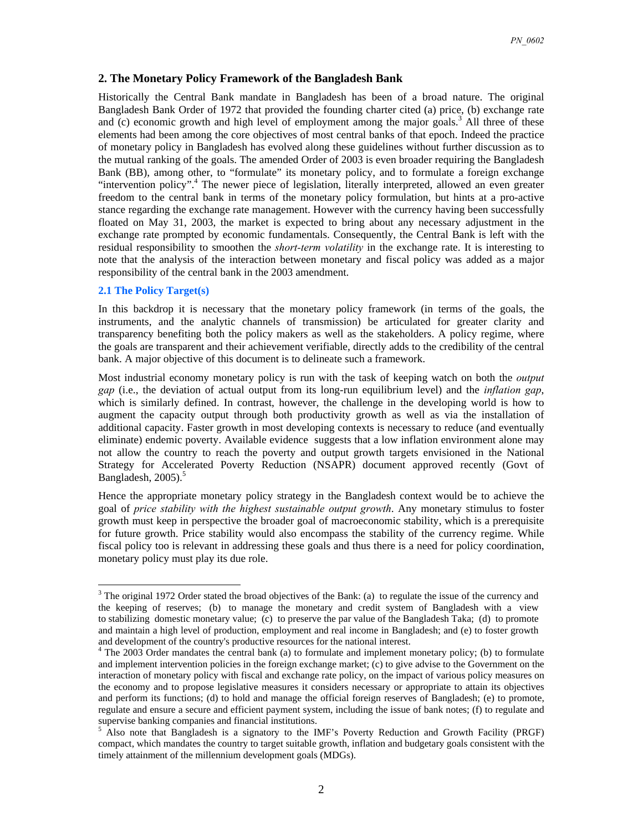#### **2. The Monetary Policy Framework of the Bangladesh Bank**

Historically the Central Bank mandate in Bangladesh has been of a broad nature. The original Bangladesh Bank Order of 1972 that provided the founding charter cited (a) price, (b) exchange rate and  $(c)$  economic growth and high level of employment among the major goals.<sup>3</sup> All three of these elements had been among the core objectives of most central banks of that epoch. Indeed the practice of monetary policy in Bangladesh has evolved along these guidelines without further discussion as to the mutual ranking of the goals. The amended Order of 2003 is even broader requiring the Bangladesh Bank (BB), among other, to "formulate" its monetary policy, and to formulate a foreign exchange "intervention policy".<sup>4</sup> The newer piece of legislation, literally interpreted, allowed an even greater freedom to the central bank in terms of the monetary policy formulation, but hints at a pro-active stance regarding the exchange rate management. However with the currency having been successfully floated on May 31, 2003, the market is expected to bring about any necessary adjustment in the exchange rate prompted by economic fundamentals. Consequently, the Central Bank is left with the residual responsibility to smoothen the *short-term volatility* in the exchange rate. It is interesting to note that the analysis of the interaction between monetary and fiscal policy was added as a major responsibility of the central bank in the 2003 amendment.

#### **2.1 The Policy Target(s)**

In this backdrop it is necessary that the monetary policy framework (in terms of the goals, the instruments, and the analytic channels of transmission) be articulated for greater clarity and transparency benefiting both the policy makers as well as the stakeholders. A policy regime, where the goals are transparent and their achievement verifiable, directly adds to the credibility of the central bank. A major objective of this document is to delineate such a framework.

Most industrial economy monetary policy is run with the task of keeping watch on both the *output gap* (i.e., the deviation of actual output from its long-run equilibrium level) and the *inflation gap*, which is similarly defined. In contrast, however, the challenge in the developing world is how to augment the capacity output through both productivity growth as well as via the installation of additional capacity. Faster growth in most developing contexts is necessary to reduce (and eventually eliminate) endemic poverty. Available evidence suggests that a low inflation environment alone may not allow the country to reach the poverty and output growth targets envisioned in the National Strategy for Accelerated Poverty Reduction (NSAPR) document approved recently (Govt of Bangladesh,  $2005$ ).<sup>5</sup>

Hence the appropriate monetary policy strategy in the Bangladesh context would be to achieve the goal of *price stability with the highest sustainable output growth*. Any monetary stimulus to foster growth must keep in perspective the broader goal of macroeconomic stability, which is a prerequisite for future growth. Price stability would also encompass the stability of the currency regime. While fiscal policy too is relevant in addressing these goals and thus there is a need for policy coordination, monetary policy must play its due role.

<sup>&</sup>lt;sup>3</sup> The original 1972 Order stated the broad objectives of the Bank: (a) to regulate the issue of the currency and the keeping of reserves; (b) to manage the monetary and credit system of Bangladesh with a view to stabilizing domestic monetary value; (c) to preserve the par value of the Bangladesh Taka; (d) to promote and maintain a high level of production, employment and real income in Bangladesh; and (e) to foster growth and development of the country's productive resources for the national interest.

<sup>&</sup>lt;sup>4</sup> The 2003 Order mandates the central bank (a) to formulate and implement monetary policy; (b) to formulate and implement intervention policies in the foreign exchange market; (c) to give advise to the Government on the interaction of monetary policy with fiscal and exchange rate policy, on the impact of various policy measures on the economy and to propose legislative measures it considers necessary or appropriate to attain its objectives and perform its functions; (d) to hold and manage the official foreign reserves of Bangladesh; (e) to promote, regulate and ensure a secure and efficient payment system, including the issue of bank notes; (f) to regulate and supervise banking companies and financial institutions.

<sup>5</sup> Also note that Bangladesh is a signatory to the IMF's Poverty Reduction and Growth Facility (PRGF) compact, which mandates the country to target suitable growth, inflation and budgetary goals consistent with the timely attainment of the millennium development goals (MDGs).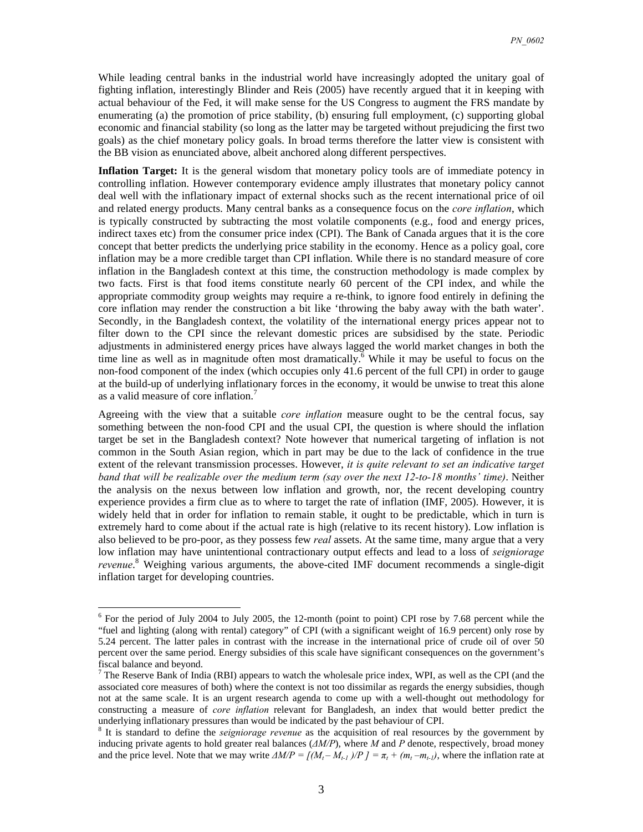While leading central banks in the industrial world have increasingly adopted the unitary goal of fighting inflation, interestingly Blinder and Reis (2005) have recently argued that it in keeping with actual behaviour of the Fed, it will make sense for the US Congress to augment the FRS mandate by enumerating (a) the promotion of price stability, (b) ensuring full employment, (c) supporting global economic and financial stability (so long as the latter may be targeted without prejudicing the first two goals) as the chief monetary policy goals. In broad terms therefore the latter view is consistent with the BB vision as enunciated above, albeit anchored along different perspectives.

**Inflation Target:** It is the general wisdom that monetary policy tools are of immediate potency in controlling inflation. However contemporary evidence amply illustrates that monetary policy cannot deal well with the inflationary impact of external shocks such as the recent international price of oil and related energy products. Many central banks as a consequence focus on the *core inflation*, which is typically constructed by subtracting the most volatile components (e.g., food and energy prices, indirect taxes etc) from the consumer price index (CPI). The Bank of Canada argues that it is the core concept that better predicts the underlying price stability in the economy. Hence as a policy goal, core inflation may be a more credible target than CPI inflation. While there is no standard measure of core inflation in the Bangladesh context at this time, the construction methodology is made complex by two facts. First is that food items constitute nearly 60 percent of the CPI index, and while the appropriate commodity group weights may require a re-think, to ignore food entirely in defining the core inflation may render the construction a bit like 'throwing the baby away with the bath water'. Secondly, in the Bangladesh context, the volatility of the international energy prices appear not to filter down to the CPI since the relevant domestic prices are subsidised by the state. Periodic adjustments in administered energy prices have always lagged the world market changes in both the time line as well as in magnitude often most dramatically.<sup> $\overline{6}$ </sup> While it may be useful to focus on the non-food component of the index (which occupies only 41.6 percent of the full CPI) in order to gauge at the build-up of underlying inflationary forces in the economy, it would be unwise to treat this alone as a valid measure of core inflation.

Agreeing with the view that a suitable *core inflation* measure ought to be the central focus, say something between the non-food CPI and the usual CPI, the question is where should the inflation target be set in the Bangladesh context? Note however that numerical targeting of inflation is not common in the South Asian region, which in part may be due to the lack of confidence in the true extent of the relevant transmission processes. However, *it is quite relevant to set an indicative target band that will be realizable over the medium term (say over the next 12-to-18 months' time)*. Neither the analysis on the nexus between low inflation and growth, nor, the recent developing country experience provides a firm clue as to where to target the rate of inflation (IMF, 2005). However, it is widely held that in order for inflation to remain stable, it ought to be predictable, which in turn is extremely hard to come about if the actual rate is high (relative to its recent history). Low inflation is also believed to be pro-poor, as they possess few *real* assets. At the same time, many argue that a very low inflation may have unintentional contractionary output effects and lead to a loss of *seigniorage revenue*. 8 Weighing various arguments, the above-cited IMF document recommends a single-digit inflation target for developing countries.

<sup>&</sup>lt;sup>6</sup> For the period of July 2004 to July 2005, the 12-month (point to point) CPI rose by 7.68 percent while the "fuel and lighting (along with rental) category" of CPI (with a significant weight of 16.9 percent) only rose by 5.24 percent. The latter pales in contrast with the increase in the international price of crude oil of over 50 percent over the same period. Energy subsidies of this scale have significant consequences on the government's fiscal balance and beyond.

 $<sup>7</sup>$  The Reserve Bank of India (RBI) appears to watch the wholesale price index, WPI, as well as the CPI (and the</sup> associated core measures of both) where the context is not too dissimilar as regards the energy subsidies, though not at the same scale. It is an urgent research agenda to come up with a well-thought out methodology for constructing a measure of *core inflation* relevant for Bangladesh, an index that would better predict the underlying inflationary pressures than would be indicated by the past behaviour of CPI.

<sup>&</sup>lt;sup>8</sup> It is standard to define the *seigniorage revenue* as the acquisition of real resources by the government by inducing private agents to hold greater real balances (*∆M/P*), where *M* and *P* denote, respectively, broad money and the price level. Note that we may write  $\Delta M/P = \left[ (M_t - M_{t-1})/P \right] = \pi_t + (m_t - m_{t-1})$ , where the inflation rate at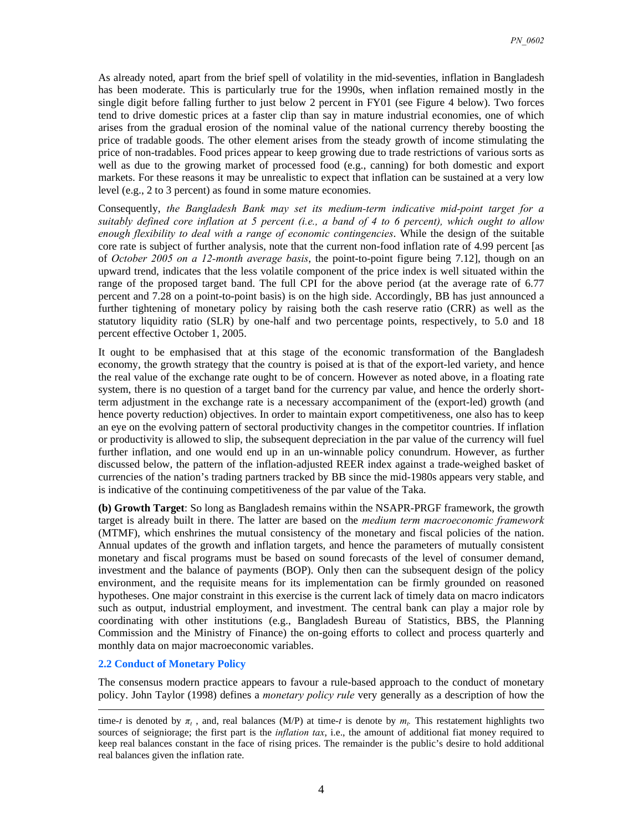As already noted, apart from the brief spell of volatility in the mid-seventies, inflation in Bangladesh has been moderate. This is particularly true for the 1990s, when inflation remained mostly in the single digit before falling further to just below 2 percent in FY01 (see Figure 4 below). Two forces tend to drive domestic prices at a faster clip than say in mature industrial economies, one of which arises from the gradual erosion of the nominal value of the national currency thereby boosting the price of tradable goods. The other element arises from the steady growth of income stimulating the price of non-tradables. Food prices appear to keep growing due to trade restrictions of various sorts as well as due to the growing market of processed food (e.g., canning) for both domestic and export markets. For these reasons it may be unrealistic to expect that inflation can be sustained at a very low level (e.g., 2 to 3 percent) as found in some mature economies.

Consequently, *the Bangladesh Bank may set its medium-term indicative mid-point target for a suitably defined core inflation at 5 percent (i.e., a band of 4 to 6 percent), which ought to allow enough flexibility to deal with a range of economic contingencies*. While the design of the suitable core rate is subject of further analysis, note that the current non-food inflation rate of 4.99 percent [as of *October 2005 on a 12-month average basis*, the point-to-point figure being 7.12], though on an upward trend, indicates that the less volatile component of the price index is well situated within the range of the proposed target band. The full CPI for the above period (at the average rate of 6.77 percent and 7.28 on a point-to-point basis) is on the high side. Accordingly, BB has just announced a further tightening of monetary policy by raising both the cash reserve ratio (CRR) as well as the statutory liquidity ratio (SLR) by one-half and two percentage points, respectively, to 5.0 and 18 percent effective October 1, 2005.

It ought to be emphasised that at this stage of the economic transformation of the Bangladesh economy, the growth strategy that the country is poised at is that of the export-led variety, and hence the real value of the exchange rate ought to be of concern. However as noted above, in a floating rate system, there is no question of a target band for the currency par value, and hence the orderly shortterm adjustment in the exchange rate is a necessary accompaniment of the (export-led) growth (and hence poverty reduction) objectives. In order to maintain export competitiveness, one also has to keep an eye on the evolving pattern of sectoral productivity changes in the competitor countries. If inflation or productivity is allowed to slip, the subsequent depreciation in the par value of the currency will fuel further inflation, and one would end up in an un-winnable policy conundrum. However, as further discussed below, the pattern of the inflation-adjusted REER index against a trade-weighed basket of currencies of the nation's trading partners tracked by BB since the mid-1980s appears very stable, and is indicative of the continuing competitiveness of the par value of the Taka.

**(b) Growth Target**: So long as Bangladesh remains within the NSAPR-PRGF framework, the growth target is already built in there. The latter are based on the *medium term macroeconomic framework* (MTMF), which enshrines the mutual consistency of the monetary and fiscal policies of the nation. Annual updates of the growth and inflation targets, and hence the parameters of mutually consistent monetary and fiscal programs must be based on sound forecasts of the level of consumer demand, investment and the balance of payments (BOP). Only then can the subsequent design of the policy environment, and the requisite means for its implementation can be firmly grounded on reasoned hypotheses. One major constraint in this exercise is the current lack of timely data on macro indicators such as output, industrial employment, and investment. The central bank can play a major role by coordinating with other institutions (e.g., Bangladesh Bureau of Statistics, BBS, the Planning Commission and the Ministry of Finance) the on-going efforts to collect and process quarterly and monthly data on major macroeconomic variables.

#### **2.2 Conduct of Monetary Policy**

The consensus modern practice appears to favour a rule-based approach to the conduct of monetary policy. John Taylor (1998) defines a *monetary policy rule* very generally as a description of how the

time-*t* is denoted by  $\pi$ <sub>t</sub>, and, real balances (M/P) at time-*t* is denote by  $m$ . This restatement highlights two sources of seigniorage; the first part is the *inflation tax*, i.e., the amount of additional fiat money required to keep real balances constant in the face of rising prices. The remainder is the public's desire to hold additional real balances given the inflation rate.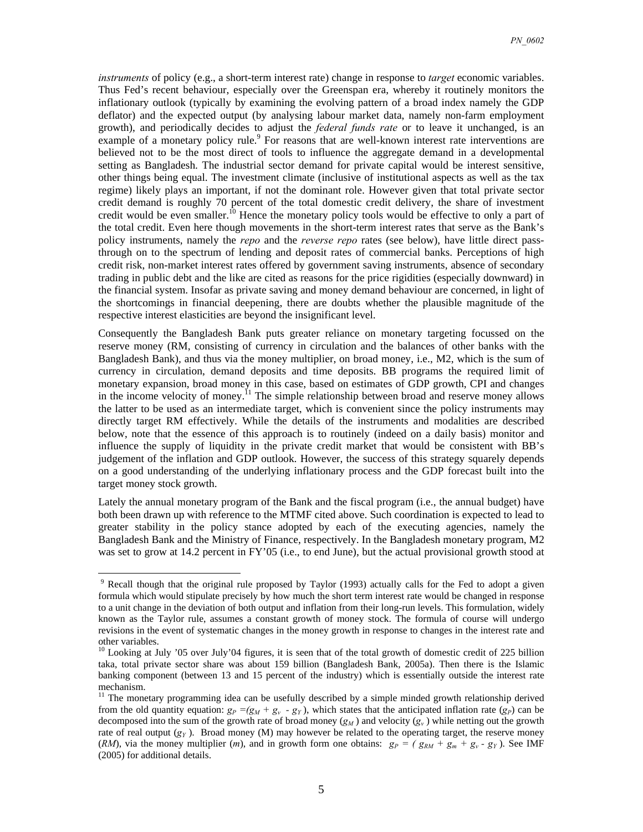*instruments* of policy (e.g., a short-term interest rate) change in response to *target* economic variables. Thus Fed's recent behaviour, especially over the Greenspan era, whereby it routinely monitors the inflationary outlook (typically by examining the evolving pattern of a broad index namely the GDP deflator) and the expected output (by analysing labour market data, namely non-farm employment growth), and periodically decides to adjust the *federal funds rate* or to leave it unchanged, is an example of a monetary policy rule.<sup>9</sup> For reasons that are well-known interest rate interventions are believed not to be the most direct of tools to influence the aggregate demand in a developmental setting as Bangladesh. The industrial sector demand for private capital would be interest sensitive, other things being equal. The investment climate (inclusive of institutional aspects as well as the tax regime) likely plays an important, if not the dominant role. However given that total private sector credit demand is roughly 70 percent of the total domestic credit delivery, the share of investment credit would be even smaller.<sup>10</sup> Hence the monetary policy tools would be effective to only a part of the total credit. Even here though movements in the short-term interest rates that serve as the Bank's policy instruments, namely the *repo* and the *reverse repo* rates (see below), have little direct passthrough on to the spectrum of lending and deposit rates of commercial banks. Perceptions of high credit risk, non-market interest rates offered by government saving instruments, absence of secondary trading in public debt and the like are cited as reasons for the price rigidities (especially downward) in the financial system. Insofar as private saving and money demand behaviour are concerned, in light of the shortcomings in financial deepening, there are doubts whether the plausible magnitude of the respective interest elasticities are beyond the insignificant level.

Consequently the Bangladesh Bank puts greater reliance on monetary targeting focussed on the reserve money (RM, consisting of currency in circulation and the balances of other banks with the Bangladesh Bank), and thus via the money multiplier, on broad money, i.e., M2, which is the sum of currency in circulation, demand deposits and time deposits. BB programs the required limit of monetary expansion, broad money in this case, based on estimates of GDP growth, CPI and changes in the income velocity of money.<sup>11</sup> The simple relationship between broad and reserve money allows the latter to be used as an intermediate target, which is convenient since the policy instruments may directly target RM effectively. While the details of the instruments and modalities are described below, note that the essence of this approach is to routinely (indeed on a daily basis) monitor and influence the supply of liquidity in the private credit market that would be consistent with BB's judgement of the inflation and GDP outlook. However, the success of this strategy squarely depends on a good understanding of the underlying inflationary process and the GDP forecast built into the target money stock growth.

Lately the annual monetary program of the Bank and the fiscal program (i.e., the annual budget) have both been drawn up with reference to the MTMF cited above. Such coordination is expected to lead to greater stability in the policy stance adopted by each of the executing agencies, namely the Bangladesh Bank and the Ministry of Finance, respectively. In the Bangladesh monetary program, M2 was set to grow at 14.2 percent in FY'05 (i.e., to end June), but the actual provisional growth stood at

<sup>&</sup>lt;sup>9</sup> Recall though that the original rule proposed by Taylor (1993) actually calls for the Fed to adopt a given formula which would stipulate precisely by how much the short term interest rate would be changed in response to a unit change in the deviation of both output and inflation from their long-run levels. This formulation, widely known as the Taylor rule, assumes a constant growth of money stock. The formula of course will undergo revisions in the event of systematic changes in the money growth in response to changes in the interest rate and other variables.

 $10$  Looking at July '05 over July'04 figures, it is seen that of the total growth of domestic credit of 225 billion taka, total private sector share was about 159 billion (Bangladesh Bank, 2005a). Then there is the Islamic banking component (between 13 and 15 percent of the industry) which is essentially outside the interest rate mechanism.

<sup>&</sup>lt;sup>11</sup> The monetary programming idea can be usefully described by a simple minded growth relationship derived from the old quantity equation:  $g_P = (g_M + g_v - g_Y)$ , which states that the anticipated inflation rate  $(g_P)$  can be decomposed into the sum of the growth rate of broad money  $(g_M)$  and velocity  $(g_v)$  while netting out the growth rate of real output  $(g<sub>Y</sub>)$ . Broad money (M) may however be related to the operating target, the reserve money (*RM*), via the money multiplier (*m*), and in growth form one obtains:  $g_P = (g_{RM} + g_m + g_v - g_Y)$ . See IMF (2005) for additional details.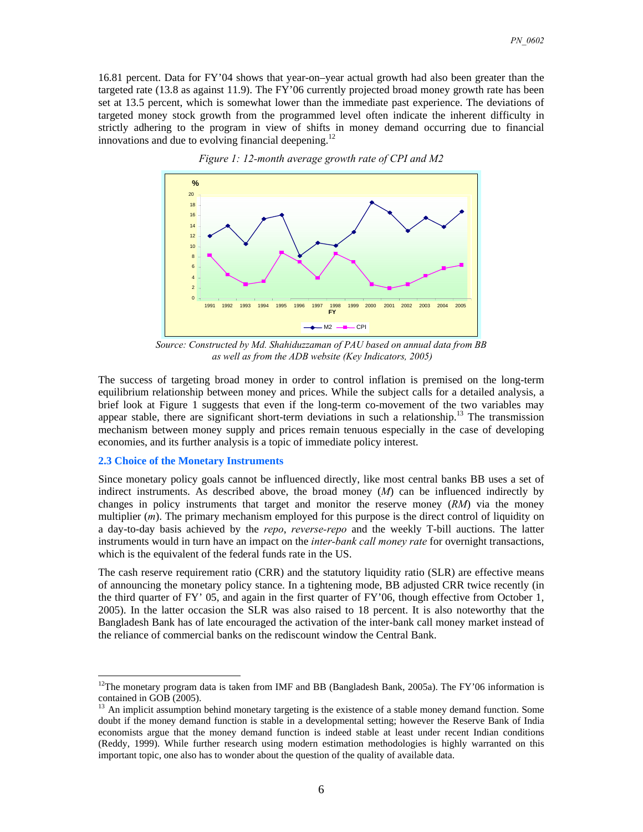16.81 percent. Data for FY'04 shows that year-on–year actual growth had also been greater than the targeted rate (13.8 as against 11.9). The FY'06 currently projected broad money growth rate has been set at 13.5 percent, which is somewhat lower than the immediate past experience. The deviations of targeted money stock growth from the programmed level often indicate the inherent difficulty in strictly adhering to the program in view of shifts in money demand occurring due to financial innovations and due to evolving financial deepening.<sup>12</sup>



*Figure 1: 12-month average growth rate of CPI and M2* 

*Source: Constructed by Md. Shahiduzzaman of PAU based on annual data from BB as well as from the ADB website (Key Indicators, 2005)* 

The success of targeting broad money in order to control inflation is premised on the long-term equilibrium relationship between money and prices. While the subject calls for a detailed analysis, a brief look at Figure 1 suggests that even if the long-term co-movement of the two variables may appear stable, there are significant short-term deviations in such a relationship.<sup>13</sup> The transmission mechanism between money supply and prices remain tenuous especially in the case of developing economies, and its further analysis is a topic of immediate policy interest.

#### **2.3 Choice of the Monetary Instruments**

 $\overline{a}$ 

Since monetary policy goals cannot be influenced directly, like most central banks BB uses a set of indirect instruments. As described above, the broad money (*M*) can be influenced indirectly by changes in policy instruments that target and monitor the reserve money (*RM*) via the money multiplier (*m*). The primary mechanism employed for this purpose is the direct control of liquidity on a day-to-day basis achieved by the *repo*, *reverse-repo* and the weekly T-bill auctions. The latter instruments would in turn have an impact on the *inter-bank call money rate* for overnight transactions, which is the equivalent of the federal funds rate in the US.

The cash reserve requirement ratio (CRR) and the statutory liquidity ratio (SLR) are effective means of announcing the monetary policy stance. In a tightening mode, BB adjusted CRR twice recently (in the third quarter of FY' 05, and again in the first quarter of FY'06, though effective from October 1, 2005). In the latter occasion the SLR was also raised to 18 percent. It is also noteworthy that the Bangladesh Bank has of late encouraged the activation of the inter-bank call money market instead of the reliance of commercial banks on the rediscount window the Central Bank.

 $12$ The monetary program data is taken from IMF and BB (Bangladesh Bank, 2005a). The FY'06 information is contained in GOB (2005).

<sup>&</sup>lt;sup>13</sup> An implicit assumption behind monetary targeting is the existence of a stable money demand function. Some doubt if the money demand function is stable in a developmental setting; however the Reserve Bank of India economists argue that the money demand function is indeed stable at least under recent Indian conditions (Reddy, 1999). While further research using modern estimation methodologies is highly warranted on this important topic, one also has to wonder about the question of the quality of available data.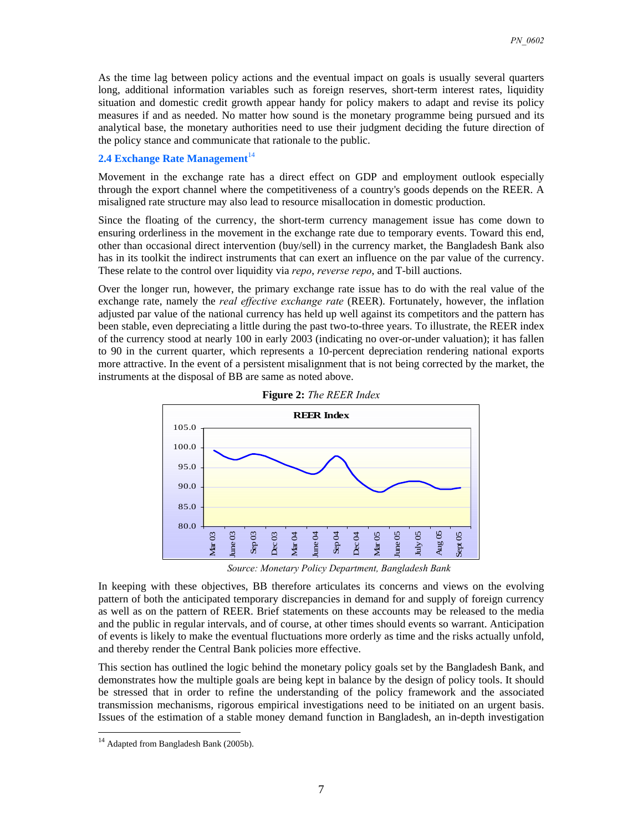As the time lag between policy actions and the eventual impact on goals is usually several quarters long, additional information variables such as foreign reserves, short-term interest rates, liquidity situation and domestic credit growth appear handy for policy makers to adapt and revise its policy measures if and as needed. No matter how sound is the monetary programme being pursued and its analytical base, the monetary authorities need to use their judgment deciding the future direction of the policy stance and communicate that rationale to the public.

#### **2.4 Exchange Rate Management**<sup>14</sup>

Movement in the exchange rate has a direct effect on GDP and employment outlook especially through the export channel where the competitiveness of a country's goods depends on the REER. A misaligned rate structure may also lead to resource misallocation in domestic production.

Since the floating of the currency, the short-term currency management issue has come down to ensuring orderliness in the movement in the exchange rate due to temporary events. Toward this end, other than occasional direct intervention (buy/sell) in the currency market, the Bangladesh Bank also has in its toolkit the indirect instruments that can exert an influence on the par value of the currency. These relate to the control over liquidity via *repo*, *reverse repo*, and T-bill auctions.

Over the longer run, however, the primary exchange rate issue has to do with the real value of the exchange rate, namely the *real effective exchange rate* (REER). Fortunately, however, the inflation adjusted par value of the national currency has held up well against its competitors and the pattern has been stable, even depreciating a little during the past two-to-three years. To illustrate, the REER index of the currency stood at nearly 100 in early 2003 (indicating no over-or-under valuation); it has fallen to 90 in the current quarter, which represents a 10-percent depreciation rendering national exports more attractive. In the event of a persistent misalignment that is not being corrected by the market, the instruments at the disposal of BB are same as noted above.



**Figure 2:** *The REER Index* 

*Source: Monetary Policy Department, Bangladesh Bank*

In keeping with these objectives, BB therefore articulates its concerns and views on the evolving pattern of both the anticipated temporary discrepancies in demand for and supply of foreign currency as well as on the pattern of REER. Brief statements on these accounts may be released to the media and the public in regular intervals, and of course, at other times should events so warrant. Anticipation of events is likely to make the eventual fluctuations more orderly as time and the risks actually unfold, and thereby render the Central Bank policies more effective.

This section has outlined the logic behind the monetary policy goals set by the Bangladesh Bank, and demonstrates how the multiple goals are being kept in balance by the design of policy tools. It should be stressed that in order to refine the understanding of the policy framework and the associated transmission mechanisms, rigorous empirical investigations need to be initiated on an urgent basis. Issues of the estimation of a stable money demand function in Bangladesh, an in-depth investigation

<sup>&</sup>lt;sup>14</sup> Adapted from Bangladesh Bank (2005b).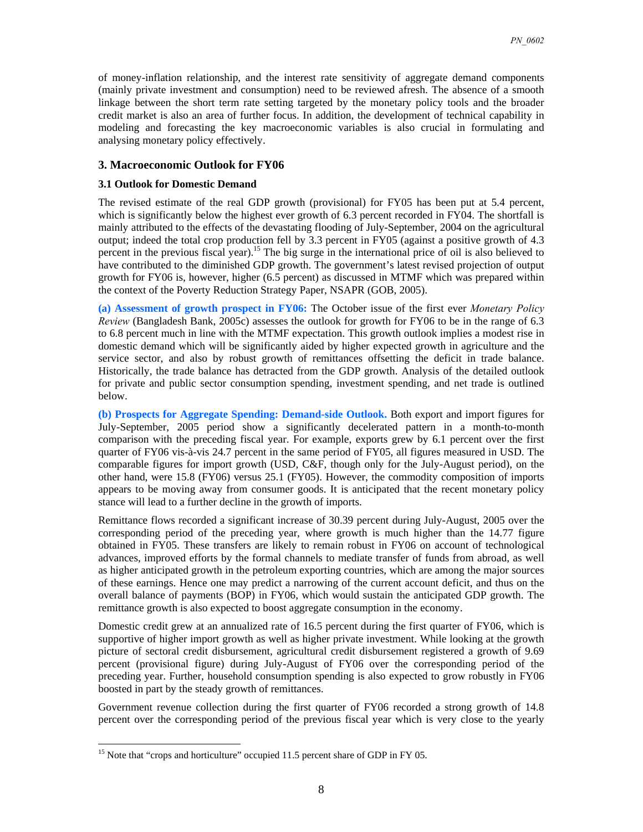of money-inflation relationship, and the interest rate sensitivity of aggregate demand components (mainly private investment and consumption) need to be reviewed afresh. The absence of a smooth linkage between the short term rate setting targeted by the monetary policy tools and the broader credit market is also an area of further focus. In addition, the development of technical capability in modeling and forecasting the key macroeconomic variables is also crucial in formulating and analysing monetary policy effectively.

#### **3. Macroeconomic Outlook for FY06**

#### **3.1 Outlook for Domestic Demand**

The revised estimate of the real GDP growth (provisional) for FY05 has been put at 5.4 percent, which is significantly below the highest ever growth of 6.3 percent recorded in FY04. The shortfall is mainly attributed to the effects of the devastating flooding of July-September, 2004 on the agricultural output; indeed the total crop production fell by 3.3 percent in FY05 (against a positive growth of 4.3 percent in the previous fiscal year).<sup>15</sup> The big surge in the international price of oil is also believed to have contributed to the diminished GDP growth. The government's latest revised projection of output growth for FY06 is, however, higher (6.5 percent) as discussed in MTMF which was prepared within the context of the Poverty Reduction Strategy Paper, NSAPR (GOB, 2005).

**(a) Assessment of growth prospect in FY06:** The October issue of the first ever *Monetary Policy Review* (Bangladesh Bank, 2005c) assesses the outlook for growth for FY06 to be in the range of 6.3 to 6.8 percent much in line with the MTMF expectation. This growth outlook implies a modest rise in domestic demand which will be significantly aided by higher expected growth in agriculture and the service sector, and also by robust growth of remittances offsetting the deficit in trade balance. Historically, the trade balance has detracted from the GDP growth. Analysis of the detailed outlook for private and public sector consumption spending, investment spending, and net trade is outlined below.

**(b) Prospects for Aggregate Spending: Demand-side Outlook.** Both export and import figures for July-September, 2005 period show a significantly decelerated pattern in a month-to-month comparison with the preceding fiscal year. For example, exports grew by 6.1 percent over the first quarter of FY06 vis-à-vis 24.7 percent in the same period of FY05, all figures measured in USD. The comparable figures for import growth (USD, C&F, though only for the July-August period), on the other hand, were 15.8 (FY06) versus 25.1 (FY05). However, the commodity composition of imports appears to be moving away from consumer goods. It is anticipated that the recent monetary policy stance will lead to a further decline in the growth of imports.

Remittance flows recorded a significant increase of 30.39 percent during July-August, 2005 over the corresponding period of the preceding year, where growth is much higher than the 14.77 figure obtained in FY05. These transfers are likely to remain robust in FY06 on account of technological advances, improved efforts by the formal channels to mediate transfer of funds from abroad, as well as higher anticipated growth in the petroleum exporting countries, which are among the major sources of these earnings. Hence one may predict a narrowing of the current account deficit, and thus on the overall balance of payments (BOP) in FY06, which would sustain the anticipated GDP growth. The remittance growth is also expected to boost aggregate consumption in the economy.

Domestic credit grew at an annualized rate of 16.5 percent during the first quarter of FY06, which is supportive of higher import growth as well as higher private investment. While looking at the growth picture of sectoral credit disbursement, agricultural credit disbursement registered a growth of 9.69 percent (provisional figure) during July-August of FY06 over the corresponding period of the preceding year. Further, household consumption spending is also expected to grow robustly in FY06 boosted in part by the steady growth of remittances.

Government revenue collection during the first quarter of FY06 recorded a strong growth of 14.8 percent over the corresponding period of the previous fiscal year which is very close to the yearly

<sup>&</sup>lt;sup>15</sup> Note that "crops and horticulture" occupied 11.5 percent share of GDP in FY 05.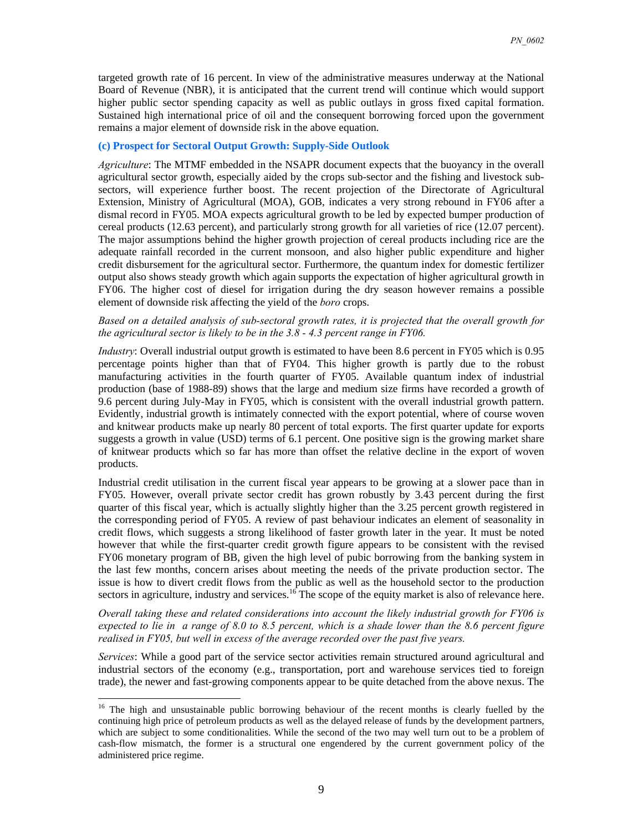targeted growth rate of 16 percent. In view of the administrative measures underway at the National Board of Revenue (NBR), it is anticipated that the current trend will continue which would support higher public sector spending capacity as well as public outlays in gross fixed capital formation. Sustained high international price of oil and the consequent borrowing forced upon the government remains a major element of downside risk in the above equation.

#### **(c) Prospect for Sectoral Output Growth: Supply-Side Outlook**

*Agriculture*: The MTMF embedded in the NSAPR document expects that the buoyancy in the overall agricultural sector growth, especially aided by the crops sub-sector and the fishing and livestock subsectors, will experience further boost. The recent projection of the Directorate of Agricultural Extension, Ministry of Agricultural (MOA), GOB, indicates a very strong rebound in FY06 after a dismal record in FY05. MOA expects agricultural growth to be led by expected bumper production of cereal products (12.63 percent), and particularly strong growth for all varieties of rice (12.07 percent). The major assumptions behind the higher growth projection of cereal products including rice are the adequate rainfall recorded in the current monsoon, and also higher public expenditure and higher credit disbursement for the agricultural sector. Furthermore, the quantum index for domestic fertilizer output also shows steady growth which again supports the expectation of higher agricultural growth in FY06. The higher cost of diesel for irrigation during the dry season however remains a possible element of downside risk affecting the yield of the *boro* crops.

#### *Based on a detailed analysis of sub-sectoral growth rates, it is projected that the overall growth for the agricultural sector is likely to be in the 3.8 - 4.3 percent range in FY06.*

*Industry*: Overall industrial output growth is estimated to have been 8.6 percent in FY05 which is 0.95 percentage points higher than that of FY04. This higher growth is partly due to the robust manufacturing activities in the fourth quarter of FY05. Available quantum index of industrial production (base of 1988-89) shows that the large and medium size firms have recorded a growth of 9.6 percent during July-May in FY05, which is consistent with the overall industrial growth pattern. Evidently, industrial growth is intimately connected with the export potential, where of course woven and knitwear products make up nearly 80 percent of total exports. The first quarter update for exports suggests a growth in value (USD) terms of 6.1 percent. One positive sign is the growing market share of knitwear products which so far has more than offset the relative decline in the export of woven products.

Industrial credit utilisation in the current fiscal year appears to be growing at a slower pace than in FY05. However, overall private sector credit has grown robustly by 3.43 percent during the first quarter of this fiscal year, which is actually slightly higher than the 3.25 percent growth registered in the corresponding period of FY05. A review of past behaviour indicates an element of seasonality in credit flows, which suggests a strong likelihood of faster growth later in the year. It must be noted however that while the first-quarter credit growth figure appears to be consistent with the revised FY06 monetary program of BB, given the high level of pubic borrowing from the banking system in the last few months, concern arises about meeting the needs of the private production sector. The issue is how to divert credit flows from the public as well as the household sector to the production sectors in agriculture, industry and services.<sup>16</sup> The scope of the equity market is also of relevance here.

*Overall taking these and related considerations into account the likely industrial growth for FY06 is expected to lie in a range of 8.0 to 8.5 percent, which is a shade lower than the 8.6 percent figure realised in FY05, but well in excess of the average recorded over the past five years.*

*Services*: While a good part of the service sector activities remain structured around agricultural and industrial sectors of the economy (e.g., transportation, port and warehouse services tied to foreign trade), the newer and fast-growing components appear to be quite detached from the above nexus. The

<sup>&</sup>lt;sup>16</sup> The high and unsustainable public borrowing behaviour of the recent months is clearly fuelled by the continuing high price of petroleum products as well as the delayed release of funds by the development partners, which are subject to some conditionalities. While the second of the two may well turn out to be a problem of cash-flow mismatch, the former is a structural one engendered by the current government policy of the administered price regime.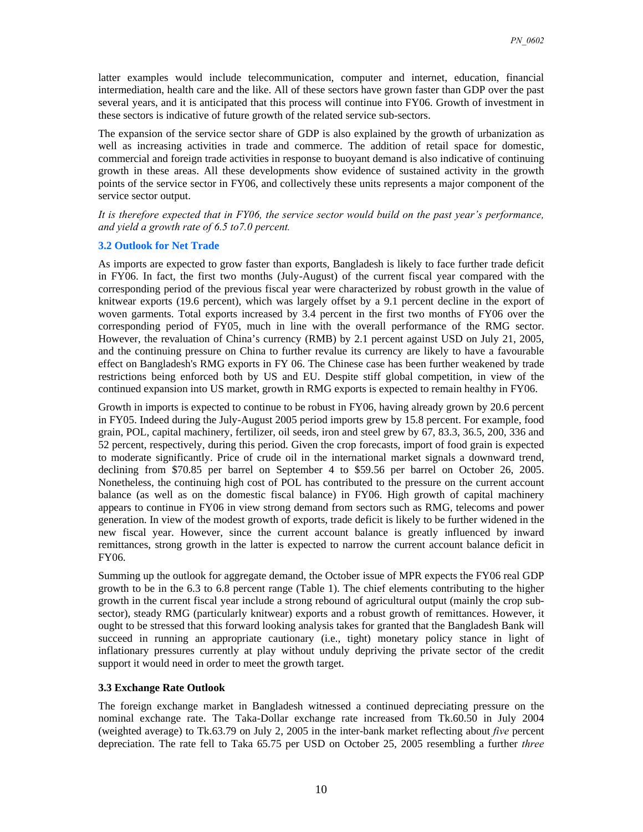latter examples would include telecommunication, computer and internet, education, financial intermediation, health care and the like. All of these sectors have grown faster than GDP over the past several years, and it is anticipated that this process will continue into FY06. Growth of investment in these sectors is indicative of future growth of the related service sub-sectors.

The expansion of the service sector share of GDP is also explained by the growth of urbanization as well as increasing activities in trade and commerce. The addition of retail space for domestic, commercial and foreign trade activities in response to buoyant demand is also indicative of continuing growth in these areas. All these developments show evidence of sustained activity in the growth points of the service sector in FY06, and collectively these units represents a major component of the service sector output.

*It is therefore expected that in FY06, the service sector would build on the past year's performance, and yield a growth rate of 6.5 to7.0 percent.* 

#### **3.2 Outlook for Net Trade**

As imports are expected to grow faster than exports, Bangladesh is likely to face further trade deficit in FY06. In fact, the first two months (July-August) of the current fiscal year compared with the corresponding period of the previous fiscal year were characterized by robust growth in the value of knitwear exports (19.6 percent), which was largely offset by a 9.1 percent decline in the export of woven garments. Total exports increased by 3.4 percent in the first two months of FY06 over the corresponding period of FY05, much in line with the overall performance of the RMG sector. However, the revaluation of China's currency (RMB) by 2.1 percent against USD on July 21, 2005, and the continuing pressure on China to further revalue its currency are likely to have a favourable effect on Bangladesh's RMG exports in FY 06. The Chinese case has been further weakened by trade restrictions being enforced both by US and EU. Despite stiff global competition, in view of the continued expansion into US market, growth in RMG exports is expected to remain healthy in FY06.

Growth in imports is expected to continue to be robust in FY06, having already grown by 20.6 percent in FY05. Indeed during the July-August 2005 period imports grew by 15.8 percent. For example, food grain, POL, capital machinery, fertilizer, oil seeds, iron and steel grew by 67, 83.3, 36.5, 200, 336 and 52 percent, respectively, during this period. Given the crop forecasts, import of food grain is expected to moderate significantly. Price of crude oil in the international market signals a downward trend, declining from \$70.85 per barrel on September 4 to \$59.56 per barrel on October 26, 2005. Nonetheless, the continuing high cost of POL has contributed to the pressure on the current account balance (as well as on the domestic fiscal balance) in FY06. High growth of capital machinery appears to continue in FY06 in view strong demand from sectors such as RMG, telecoms and power generation. In view of the modest growth of exports, trade deficit is likely to be further widened in the new fiscal year. However, since the current account balance is greatly influenced by inward remittances, strong growth in the latter is expected to narrow the current account balance deficit in FY06.

Summing up the outlook for aggregate demand, the October issue of MPR expects the FY06 real GDP growth to be in the 6.3 to 6.8 percent range (Table 1). The chief elements contributing to the higher growth in the current fiscal year include a strong rebound of agricultural output (mainly the crop subsector), steady RMG (particularly knitwear) exports and a robust growth of remittances. However, it ought to be stressed that this forward looking analysis takes for granted that the Bangladesh Bank will succeed in running an appropriate cautionary (i.e., tight) monetary policy stance in light of inflationary pressures currently at play without unduly depriving the private sector of the credit support it would need in order to meet the growth target.

#### **3.3 Exchange Rate Outlook**

The foreign exchange market in Bangladesh witnessed a continued depreciating pressure on the nominal exchange rate. The Taka-Dollar exchange rate increased from Tk.60.50 in July 2004 (weighted average) to Tk.63.79 on July 2, 2005 in the inter-bank market reflecting about *five* percent depreciation. The rate fell to Taka 65.75 per USD on October 25, 2005 resembling a further *three*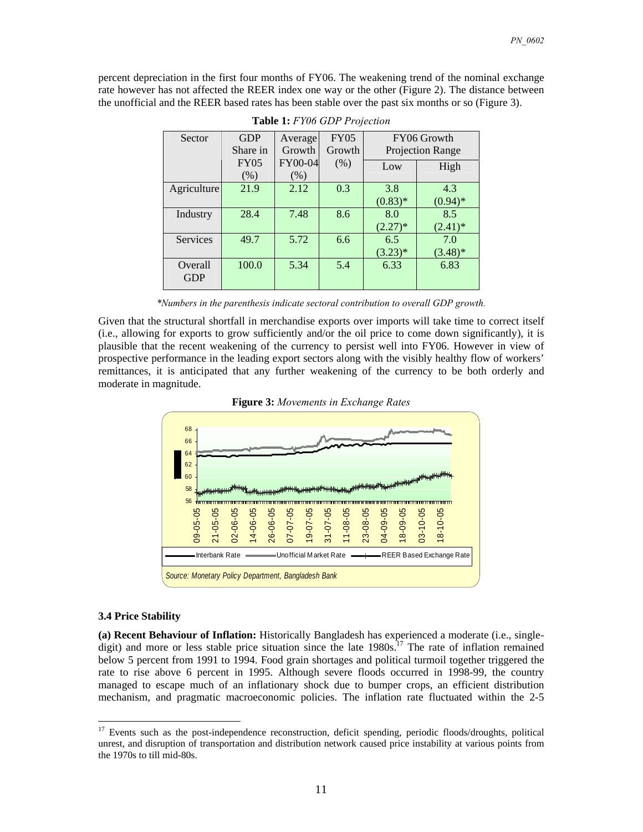percent depreciation in the first four months of FY06. The weakening trend of the nominal exchange rate however has not affected the REER index one way or the other (Figure 2). The distance between the unofficial and the REER based rates has been stable over the past six months or so (Figure 3).

| Sector                | <b>GDP</b><br>Share in | Average<br>Growth | <b>FY05</b><br>Growth | FY06 Growth<br>Projection Range |                   |
|-----------------------|------------------------|-------------------|-----------------------|---------------------------------|-------------------|
|                       | <b>FY05</b><br>(% )    | FY00-04<br>$(\%)$ | (% )                  | Low                             | High              |
| Agriculture           | 21.9                   | 2.12              | 0.3                   | 3.8<br>$(0.83)*$                | 4.3<br>$(0.94)$ * |
| Industry              | 28.4                   | 7.48              | 8.6                   | 8.0<br>$(2.27)^*$               | 8.5<br>$(2.41)^*$ |
| Services              | 49.7                   | 5.72              | 6.6                   | 6.5<br>$(3.23)*$                | 7.0<br>$(3.48)$ * |
| Overall<br><b>GDP</b> | 100.0                  | 5.34              | 5.4                   | 6.33                            | 6.83              |

|  | <b>Table 1:</b> FY06 GDP Projection |  |
|--|-------------------------------------|--|
|--|-------------------------------------|--|

*\*Numbers in the parenthesis indicate sectoral contribution to overall GDP growth.* 

Given that the structural shortfall in merchandise exports over imports will take time to correct itself (i.e., allowing for exports to grow sufficiently and/or the oil price to come down significantly), it is plausible that the recent weakening of the currency to persist well into FY06. However in view of prospective performance in the leading export sectors along with the visibly healthy flow of workers' remittances, it is anticipated that any further weakening of the currency to be both orderly and moderate in magnitude.





#### **3.4 Price Stability**

 $\overline{a}$ 

**(a) Recent Behaviour of Inflation:** Historically Bangladesh has experienced a moderate (i.e., singledigit) and more or less stable price situation since the late  $1980s$ .<sup>17</sup> The rate of inflation remained below 5 percent from 1991 to 1994. Food grain shortages and political turmoil together triggered the rate to rise above 6 percent in 1995. Although severe floods occurred in 1998-99, the country managed to escape much of an inflationary shock due to bumper crops, an efficient distribution mechanism, and pragmatic macroeconomic policies. The inflation rate fluctuated within the 2-5

<sup>&</sup>lt;sup>17</sup> Events such as the post-independence reconstruction, deficit spending, periodic floods/droughts, political unrest, and disruption of transportation and distribution network caused price instability at various points from the 1970s to till mid-80s.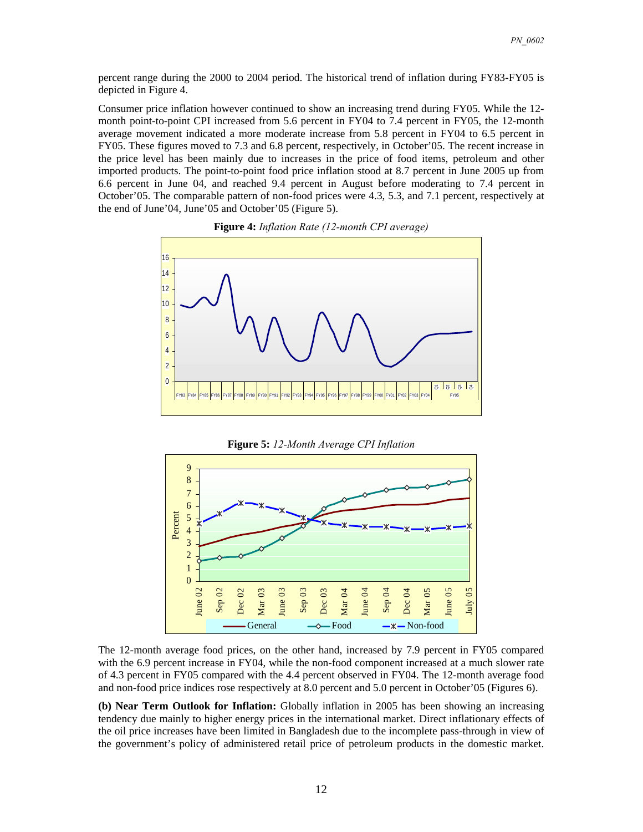percent range during the 2000 to 2004 period. The historical trend of inflation during FY83-FY05 is depicted in Figure 4.

Consumer price inflation however continued to show an increasing trend during FY05. While the 12 month point-to-point CPI increased from 5.6 percent in FY04 to 7.4 percent in FY05, the 12-month average movement indicated a more moderate increase from 5.8 percent in FY04 to 6.5 percent in FY05. These figures moved to 7.3 and 6.8 percent, respectively, in October'05. The recent increase in the price level has been mainly due to increases in the price of food items, petroleum and other imported products. The point-to-point food price inflation stood at 8.7 percent in June 2005 up from 6.6 percent in June 04, and reached 9.4 percent in August before moderating to 7.4 percent in October'05. The comparable pattern of non-food prices were 4.3, 5.3, and 7.1 percent, respectively at the end of June'04, June'05 and October'05 (Figure 5).



**Figure 4:** *Inflation Rate (12-month CPI average)* 





The 12-month average food prices, on the other hand, increased by 7.9 percent in FY05 compared with the 6.9 percent increase in FY04, while the non-food component increased at a much slower rate of 4.3 percent in FY05 compared with the 4.4 percent observed in FY04. The 12-month average food and non-food price indices rose respectively at 8.0 percent and 5.0 percent in October'05 (Figures 6).

**(b) Near Term Outlook for Inflation:** Globally inflation in 2005 has been showing an increasing tendency due mainly to higher energy prices in the international market. Direct inflationary effects of the oil price increases have been limited in Bangladesh due to the incomplete pass-through in view of the government's policy of administered retail price of petroleum products in the domestic market.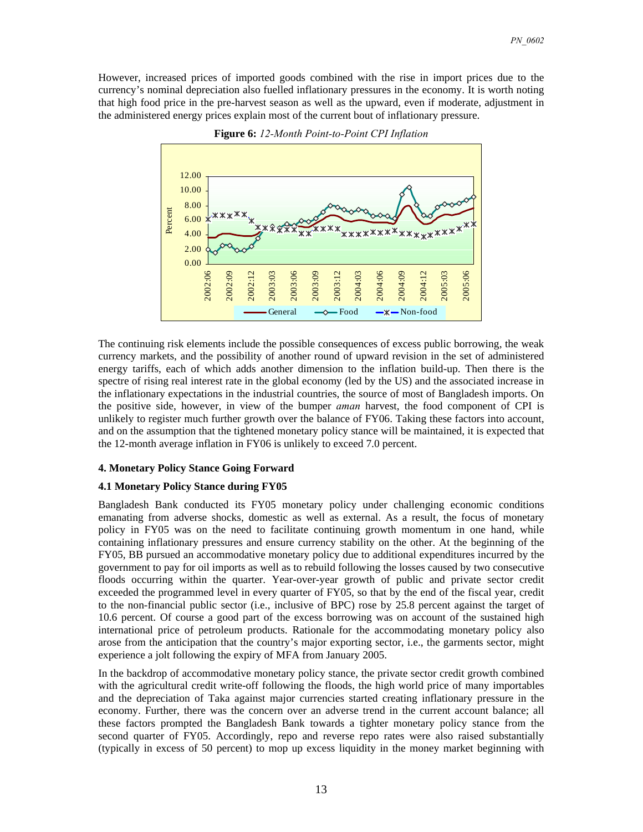However, increased prices of imported goods combined with the rise in import prices due to the currency's nominal depreciation also fuelled inflationary pressures in the economy. It is worth noting that high food price in the pre-harvest season as well as the upward, even if moderate, adjustment in the administered energy prices explain most of the current bout of inflationary pressure.



**Figure 6:** *12-Month Point-to-Point CPI Inflation*

The continuing risk elements include the possible consequences of excess public borrowing, the weak currency markets, and the possibility of another round of upward revision in the set of administered energy tariffs, each of which adds another dimension to the inflation build-up. Then there is the spectre of rising real interest rate in the global economy (led by the US) and the associated increase in the inflationary expectations in the industrial countries, the source of most of Bangladesh imports. On the positive side, however, in view of the bumper *aman* harvest, the food component of CPI is unlikely to register much further growth over the balance of FY06. Taking these factors into account, and on the assumption that the tightened monetary policy stance will be maintained, it is expected that the 12-month average inflation in FY06 is unlikely to exceed 7.0 percent.

#### **4. Monetary Policy Stance Going Forward**

#### **4.1 Monetary Policy Stance during FY05**

Bangladesh Bank conducted its FY05 monetary policy under challenging economic conditions emanating from adverse shocks, domestic as well as external. As a result, the focus of monetary policy in FY05 was on the need to facilitate continuing growth momentum in one hand, while containing inflationary pressures and ensure currency stability on the other. At the beginning of the FY05, BB pursued an accommodative monetary policy due to additional expenditures incurred by the government to pay for oil imports as well as to rebuild following the losses caused by two consecutive floods occurring within the quarter. Year-over-year growth of public and private sector credit exceeded the programmed level in every quarter of FY05, so that by the end of the fiscal year, credit to the non-financial public sector (i.e., inclusive of BPC) rose by 25.8 percent against the target of 10.6 percent. Of course a good part of the excess borrowing was on account of the sustained high international price of petroleum products. Rationale for the accommodating monetary policy also arose from the anticipation that the country's major exporting sector, i.e., the garments sector, might experience a jolt following the expiry of MFA from January 2005.

In the backdrop of accommodative monetary policy stance, the private sector credit growth combined with the agricultural credit write-off following the floods, the high world price of many importables and the depreciation of Taka against major currencies started creating inflationary pressure in the economy. Further, there was the concern over an adverse trend in the current account balance; all these factors prompted the Bangladesh Bank towards a tighter monetary policy stance from the second quarter of FY05. Accordingly, repo and reverse repo rates were also raised substantially (typically in excess of 50 percent) to mop up excess liquidity in the money market beginning with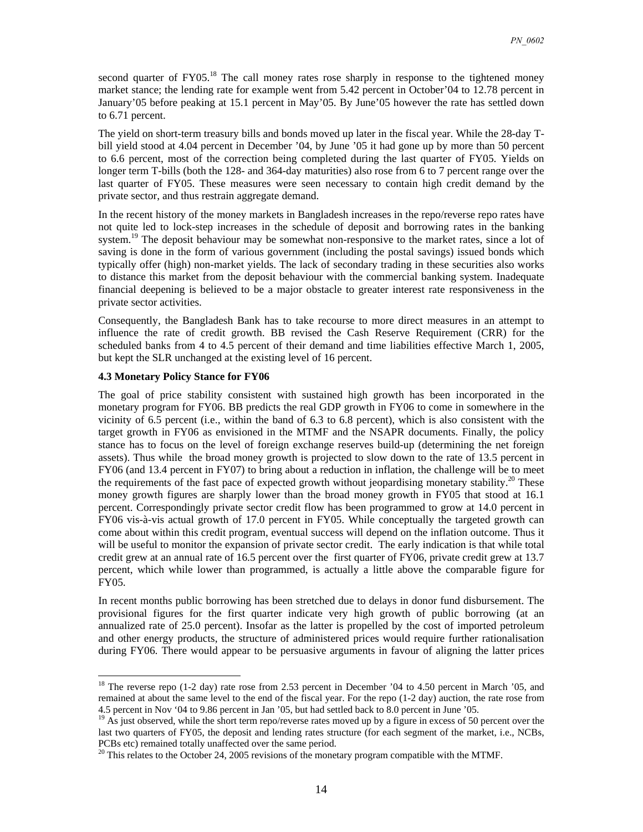second quarter of  $FY05<sup>18</sup>$ . The call money rates rose sharply in response to the tightened money market stance; the lending rate for example went from 5.42 percent in October'04 to 12.78 percent in January'05 before peaking at 15.1 percent in May'05. By June'05 however the rate has settled down to 6.71 percent.

The yield on short-term treasury bills and bonds moved up later in the fiscal year. While the 28-day Tbill yield stood at 4.04 percent in December '04, by June '05 it had gone up by more than 50 percent to 6.6 percent, most of the correction being completed during the last quarter of FY05. Yields on longer term T-bills (both the 128- and 364-day maturities) also rose from 6 to 7 percent range over the last quarter of FY05. These measures were seen necessary to contain high credit demand by the private sector, and thus restrain aggregate demand.

In the recent history of the money markets in Bangladesh increases in the repo/reverse repo rates have not quite led to lock-step increases in the schedule of deposit and borrowing rates in the banking system.<sup>19</sup> The deposit behaviour may be somewhat non-responsive to the market rates, since a lot of saving is done in the form of various government (including the postal savings) issued bonds which typically offer (high) non-market yields. The lack of secondary trading in these securities also works to distance this market from the deposit behaviour with the commercial banking system. Inadequate financial deepening is believed to be a major obstacle to greater interest rate responsiveness in the private sector activities.

Consequently, the Bangladesh Bank has to take recourse to more direct measures in an attempt to influence the rate of credit growth. BB revised the Cash Reserve Requirement (CRR) for the scheduled banks from 4 to 4.5 percent of their demand and time liabilities effective March 1, 2005, but kept the SLR unchanged at the existing level of 16 percent.

#### **4.3 Monetary Policy Stance for FY06**

 $\overline{a}$ 

The goal of price stability consistent with sustained high growth has been incorporated in the monetary program for FY06. BB predicts the real GDP growth in FY06 to come in somewhere in the vicinity of 6.5 percent (i.e., within the band of 6.3 to 6.8 percent), which is also consistent with the target growth in FY06 as envisioned in the MTMF and the NSAPR documents. Finally, the policy stance has to focus on the level of foreign exchange reserves build-up (determining the net foreign assets). Thus while the broad money growth is projected to slow down to the rate of 13.5 percent in FY06 (and 13.4 percent in FY07) to bring about a reduction in inflation, the challenge will be to meet the requirements of the fast pace of expected growth without jeopardising monetary stability.<sup>20</sup> These money growth figures are sharply lower than the broad money growth in FY05 that stood at 16.1 percent. Correspondingly private sector credit flow has been programmed to grow at 14.0 percent in FY06 vis-à-vis actual growth of 17.0 percent in FY05. While conceptually the targeted growth can come about within this credit program, eventual success will depend on the inflation outcome. Thus it will be useful to monitor the expansion of private sector credit. The early indication is that while total credit grew at an annual rate of 16.5 percent over the first quarter of FY06, private credit grew at 13.7 percent, which while lower than programmed, is actually a little above the comparable figure for FY05.

In recent months public borrowing has been stretched due to delays in donor fund disbursement. The provisional figures for the first quarter indicate very high growth of public borrowing (at an annualized rate of 25.0 percent). Insofar as the latter is propelled by the cost of imported petroleum and other energy products, the structure of administered prices would require further rationalisation during FY06. There would appear to be persuasive arguments in favour of aligning the latter prices

<sup>&</sup>lt;sup>18</sup> The reverse repo (1-2 day) rate rose from 2.53 percent in December '04 to 4.50 percent in March '05, and remained at about the same level to the end of the fiscal year. For the repo (1-2 day) auction, the rate rose from 4.5 percent in Nov '04 to 9.86 percent in Jan '05, but had settled back to 8.0 percent in June '05. <sup>19</sup> As just observed, while the short term repo/reverse rates moved up by a figure in excess of 50 percent over the

last two quarters of FY05, the deposit and lending rates structure (for each segment of the market, i.e., NCBs, PCBs etc) remained totally unaffected over the same period.

<sup>&</sup>lt;sup>20</sup> This relates to the October 24, 2005 revisions of the monetary program compatible with the MTMF.